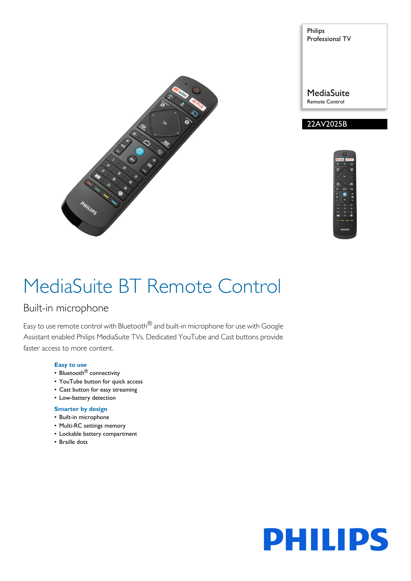

Philips Professional TV

**MediaSuite** Remote Control





# MediaSuite BT Remote Control

### Built-in microphone

Easy to use remote control with Bluetooth<sup>®</sup> and built-in microphone for use with Google Assistant enabled Philips MediaSuite TVs. Dedicated YouTube and Cast buttons provide faster access to more content.

#### **Easy to use**

- Bluetooth<sup>®</sup> connectivity
- YouTube button for quick access
- Cast button for easy streaming
- Low-battery detection

#### **Smarter by design**

- Built-in microphone
- Multi-RC settings memory
- Lockable battery compartment
- Braille dots